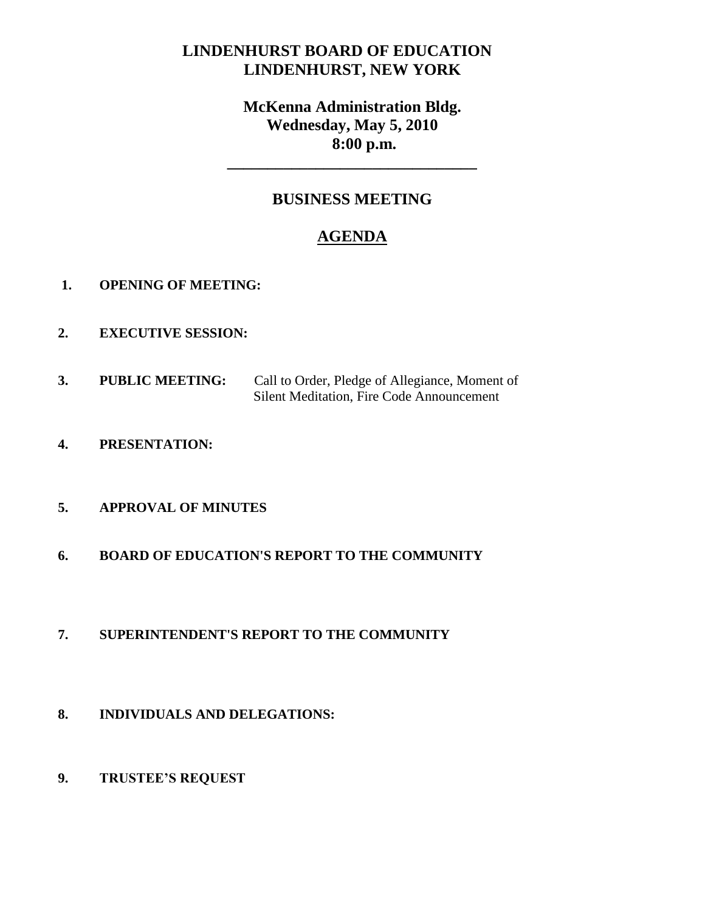# **LINDENHURST BOARD OF EDUCATION LINDENHURST, NEW YORK**

# **McKenna Administration Bldg. Wednesday, May 5, 2010 8:00 p.m.**

**\_\_\_\_\_\_\_\_\_\_\_\_\_\_\_\_\_\_\_\_\_\_\_\_\_\_\_\_\_\_\_**

## **BUSINESS MEETING**

# **AGENDA**

- **1. OPENING OF MEETING:**
- **2. EXECUTIVE SESSION:**
- **3. PUBLIC MEETING:** Call to Order, Pledge of Allegiance, Moment of Silent Meditation, Fire Code Announcement
- **4. PRESENTATION:**

## **5. APPROVAL OF MINUTES**

**6. BOARD OF EDUCATION'S REPORT TO THE COMMUNITY**

## **7. SUPERINTENDENT'S REPORT TO THE COMMUNITY**

- **8. INDIVIDUALS AND DELEGATIONS:**
- **9. TRUSTEE'S REQUEST**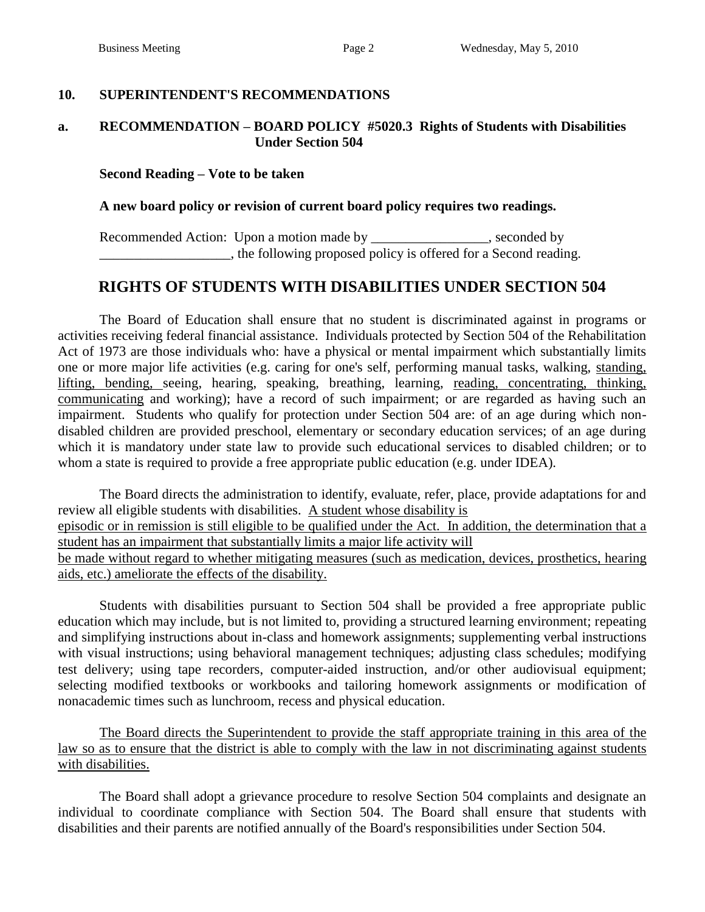## **10. SUPERINTENDENT'S RECOMMENDATIONS**

#### **a. RECOMMENDATION – BOARD POLICY #5020.3 Rights of Students with Disabilities Under Section 504**

#### **Second Reading – Vote to be taken**

#### **A new board policy or revision of current board policy requires two readings.**

Recommended Action: Upon a motion made by \_\_\_\_\_\_\_\_\_\_\_\_\_\_\_\_, seconded by  $\Box$ , the following proposed policy is offered for a Second reading.

# **RIGHTS OF STUDENTS WITH DISABILITIES UNDER SECTION 504**

The Board of Education shall ensure that no student is discriminated against in programs or activities receiving federal financial assistance. Individuals protected by Section 504 of the Rehabilitation Act of 1973 are those individuals who: have a physical or mental impairment which substantially limits one or more major life activities (e.g. caring for one's self, performing manual tasks, walking, standing, lifting, bending, seeing, hearing, speaking, breathing, learning, reading, concentrating, thinking, communicating and working); have a record of such impairment; or are regarded as having such an impairment. Students who qualify for protection under Section 504 are: of an age during which nondisabled children are provided preschool, elementary or secondary education services; of an age during which it is mandatory under state law to provide such educational services to disabled children; or to whom a state is required to provide a free appropriate public education (e.g. under IDEA).

The Board directs the administration to identify, evaluate, refer, place, provide adaptations for and review all eligible students with disabilities. A student whose disability is episodic or in remission is still eligible to be qualified under the Act. In addition, the determination that a student has an impairment that substantially limits a major life activity will be made without regard to whether mitigating measures (such as medication, devices, prosthetics, hearing aids, etc.) ameliorate the effects of the disability.

Students with disabilities pursuant to Section 504 shall be provided a free appropriate public education which may include, but is not limited to, providing a structured learning environment; repeating and simplifying instructions about in-class and homework assignments; supplementing verbal instructions with visual instructions; using behavioral management techniques; adjusting class schedules; modifying test delivery; using tape recorders, computer-aided instruction, and/or other audiovisual equipment; selecting modified textbooks or workbooks and tailoring homework assignments or modification of nonacademic times such as lunchroom, recess and physical education.

The Board directs the Superintendent to provide the staff appropriate training in this area of the law so as to ensure that the district is able to comply with the law in not discriminating against students with disabilities.

The Board shall adopt a grievance procedure to resolve Section 504 complaints and designate an individual to coordinate compliance with Section 504. The Board shall ensure that students with disabilities and their parents are notified annually of the Board's responsibilities under Section 504.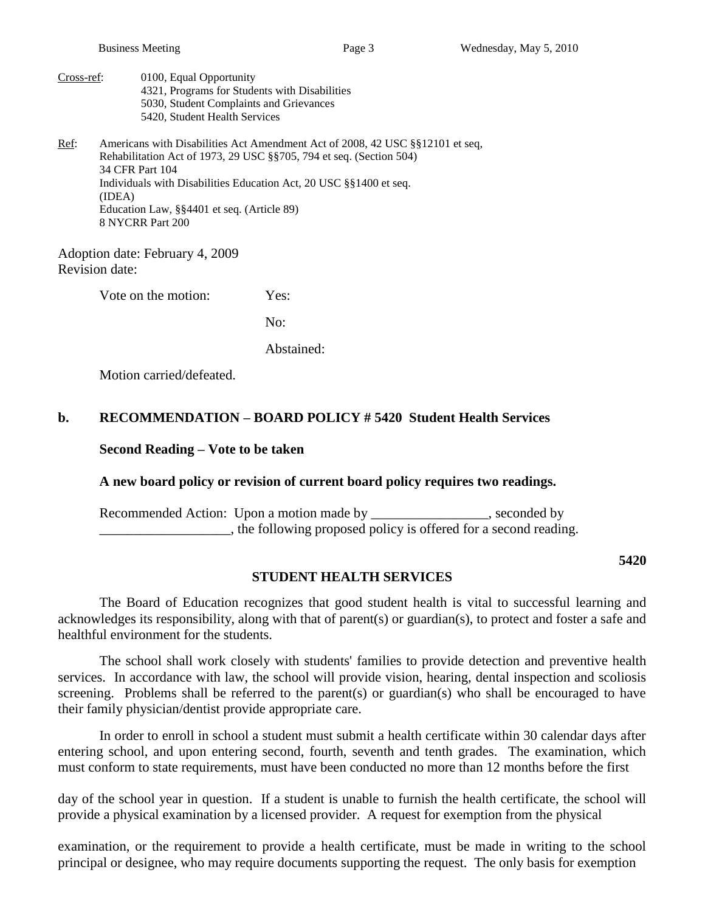Cross-ref: 0100, Equal Opportunity 4321, Programs for Students with Disabilities 5030, Student Complaints and Grievances 5420, Student Health Services

Ref: Americans with Disabilities Act Amendment Act of 2008, 42 USC §§12101 et seq, Rehabilitation Act of 1973, 29 USC §§705, 794 et seq. (Section 504) 34 CFR Part 104 Individuals with Disabilities Education Act, 20 USC §§1400 et seq. (IDEA) Education Law, §§4401 et seq. (Article 89) 8 NYCRR Part 200

Adoption date: February 4, 2009 Revision date:

Vote on the motion: Yes:

No:

Abstained:

Motion carried/defeated.

#### **b. RECOMMENDATION – BOARD POLICY # 5420 Student Health Services**

#### **Second Reading – Vote to be taken**

#### **A new board policy or revision of current board policy requires two readings.**

Recommended Action: Upon a motion made by \_\_\_\_\_\_\_\_\_\_\_\_\_\_, seconded by **Example 2.1**, the following proposed policy is offered for a second reading.

**5420**

#### **STUDENT HEALTH SERVICES**

The Board of Education recognizes that good student health is vital to successful learning and acknowledges its responsibility, along with that of parent(s) or guardian(s), to protect and foster a safe and healthful environment for the students.

The school shall work closely with students' families to provide detection and preventive health services. In accordance with law, the school will provide vision, hearing, dental inspection and scoliosis screening. Problems shall be referred to the parent(s) or guardian(s) who shall be encouraged to have their family physician/dentist provide appropriate care.

In order to enroll in school a student must submit a health certificate within 30 calendar days after entering school, and upon entering second, fourth, seventh and tenth grades. The examination, which must conform to state requirements, must have been conducted no more than 12 months before the first

day of the school year in question. If a student is unable to furnish the health certificate, the school will provide a physical examination by a licensed provider. A request for exemption from the physical

examination, or the requirement to provide a health certificate, must be made in writing to the school principal or designee, who may require documents supporting the request. The only basis for exemption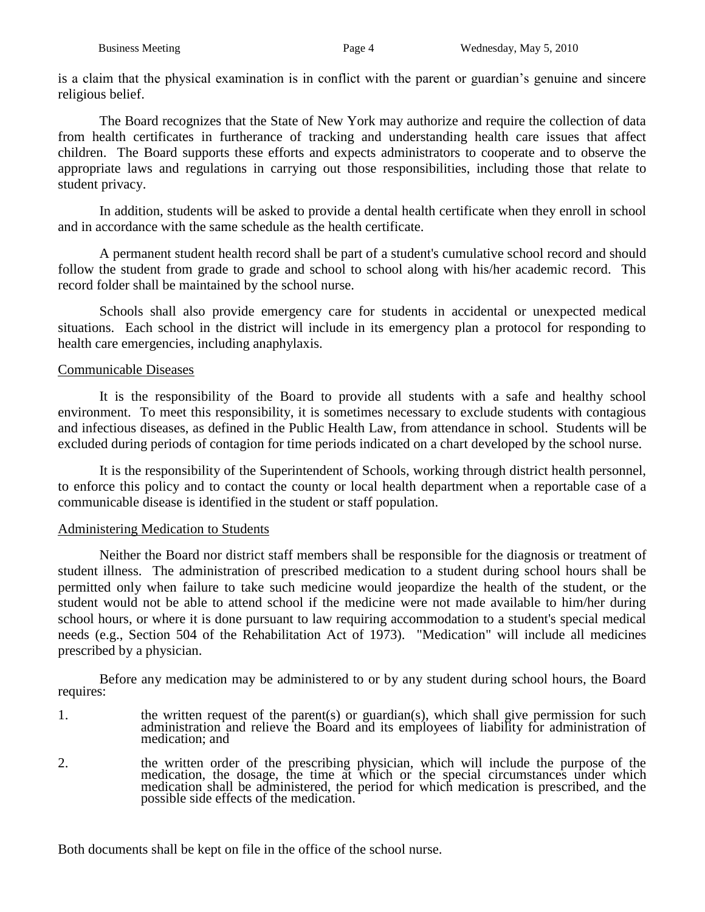is a claim that the physical examination is in conflict with the parent or guardian's genuine and sincere religious belief.

The Board recognizes that the State of New York may authorize and require the collection of data from health certificates in furtherance of tracking and understanding health care issues that affect children. The Board supports these efforts and expects administrators to cooperate and to observe the appropriate laws and regulations in carrying out those responsibilities, including those that relate to student privacy.

In addition, students will be asked to provide a dental health certificate when they enroll in school and in accordance with the same schedule as the health certificate.

A permanent student health record shall be part of a student's cumulative school record and should follow the student from grade to grade and school to school along with his/her academic record. This record folder shall be maintained by the school nurse.

Schools shall also provide emergency care for students in accidental or unexpected medical situations. Each school in the district will include in its emergency plan a protocol for responding to health care emergencies, including anaphylaxis.

## Communicable Diseases

It is the responsibility of the Board to provide all students with a safe and healthy school environment. To meet this responsibility, it is sometimes necessary to exclude students with contagious and infectious diseases, as defined in the Public Health Law, from attendance in school. Students will be excluded during periods of contagion for time periods indicated on a chart developed by the school nurse.

It is the responsibility of the Superintendent of Schools, working through district health personnel, to enforce this policy and to contact the county or local health department when a reportable case of a communicable disease is identified in the student or staff population.

## Administering Medication to Students

Neither the Board nor district staff members shall be responsible for the diagnosis or treatment of student illness. The administration of prescribed medication to a student during school hours shall be permitted only when failure to take such medicine would jeopardize the health of the student, or the student would not be able to attend school if the medicine were not made available to him/her during school hours, or where it is done pursuant to law requiring accommodation to a student's special medical needs (e.g., Section 504 of the Rehabilitation Act of 1973). "Medication" will include all medicines prescribed by a physician.

Before any medication may be administered to or by any student during school hours, the Board requires:

- 1. the written request of the parent(s) or guardian(s), which shall give permission for such administration and relieve the Board and its employees of liability for administration of medication; and
- 2. the written order of the prescribing physician, which will include the purpose of the medication, the dosage, the time at which or the special circumstances under which medication shall be administered, the period for which medication is prescribed, and the possible side effects of the medication.

Both documents shall be kept on file in the office of the school nurse.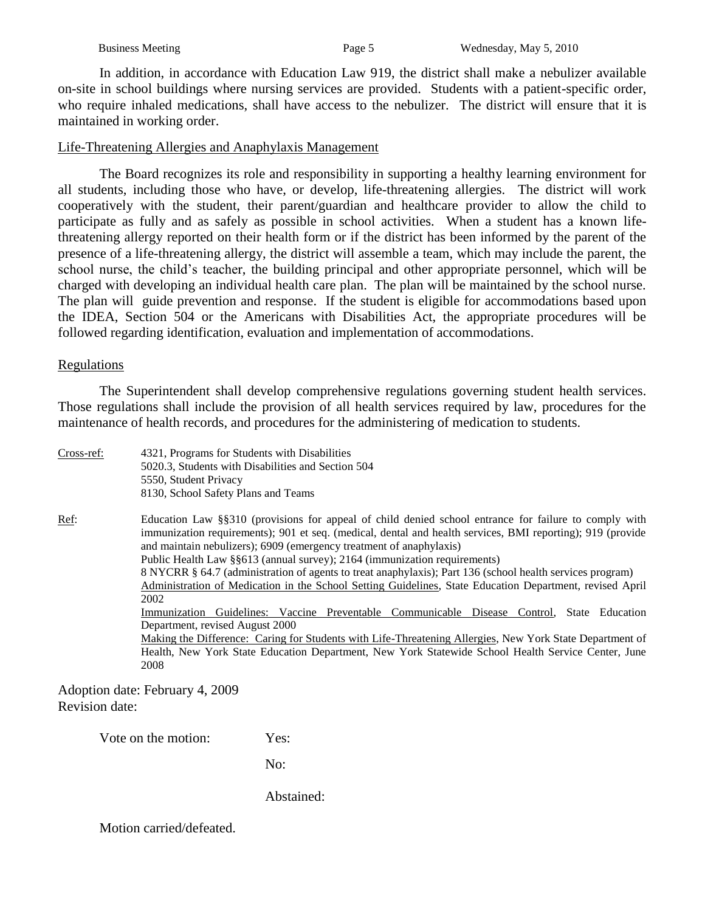In addition, in accordance with Education Law 919, the district shall make a nebulizer available on-site in school buildings where nursing services are provided. Students with a patient-specific order, who require inhaled medications, shall have access to the nebulizer. The district will ensure that it is maintained in working order.

#### Life-Threatening Allergies and Anaphylaxis Management

The Board recognizes its role and responsibility in supporting a healthy learning environment for all students, including those who have, or develop, life-threatening allergies. The district will work cooperatively with the student, their parent/guardian and healthcare provider to allow the child to participate as fully and as safely as possible in school activities. When a student has a known lifethreatening allergy reported on their health form or if the district has been informed by the parent of the presence of a life-threatening allergy, the district will assemble a team, which may include the parent, the school nurse, the child's teacher, the building principal and other appropriate personnel, which will be charged with developing an individual health care plan. The plan will be maintained by the school nurse. The plan will guide prevention and response. If the student is eligible for accommodations based upon the IDEA, Section 504 or the Americans with Disabilities Act, the appropriate procedures will be followed regarding identification, evaluation and implementation of accommodations.

#### Regulations

The Superintendent shall develop comprehensive regulations governing student health services. Those regulations shall include the provision of all health services required by law, procedures for the maintenance of health records, and procedures for the administering of medication to students.

| Cross-ref:   | 4321, Programs for Students with Disabilities<br>5020.3, Students with Disabilities and Section 504<br>5550, Student Privacy                                                                                                                                                                                                                                                                                                                                                                                                                                                                             |  |  |  |  |
|--------------|----------------------------------------------------------------------------------------------------------------------------------------------------------------------------------------------------------------------------------------------------------------------------------------------------------------------------------------------------------------------------------------------------------------------------------------------------------------------------------------------------------------------------------------------------------------------------------------------------------|--|--|--|--|
|              | 8130, School Safety Plans and Teams                                                                                                                                                                                                                                                                                                                                                                                                                                                                                                                                                                      |  |  |  |  |
| <u>Ref</u> : | Education Law §§310 (provisions for appeal of child denied school entrance for failure to comply with<br>immunization requirements); 901 et seq. (medical, dental and health services, BMI reporting); 919 (provide<br>and maintain nebulizers); 6909 (emergency treatment of anaphylaxis)<br>Public Health Law §§613 (annual survey); 2164 (immunization requirements)<br>8 NYCRR § 64.7 (administration of agents to treat anaphylaxis); Part 136 (school health services program)<br>Administration of Medication in the School Setting Guidelines, State Education Department, revised April<br>2002 |  |  |  |  |
|              | Guidelines: Vaccine Preventable Communicable Disease Control,<br>State Education<br>Immunization<br>Department, revised August 2000<br>Making the Difference: Caring for Students with Life-Threatening Allergies, New York State Department of<br>Health, New York State Education Department, New York Statewide School Health Service Center, June<br>2008                                                                                                                                                                                                                                            |  |  |  |  |

Adoption date: February 4, 2009 Revision date:

Vote on the motion: Yes:

No:

Abstained: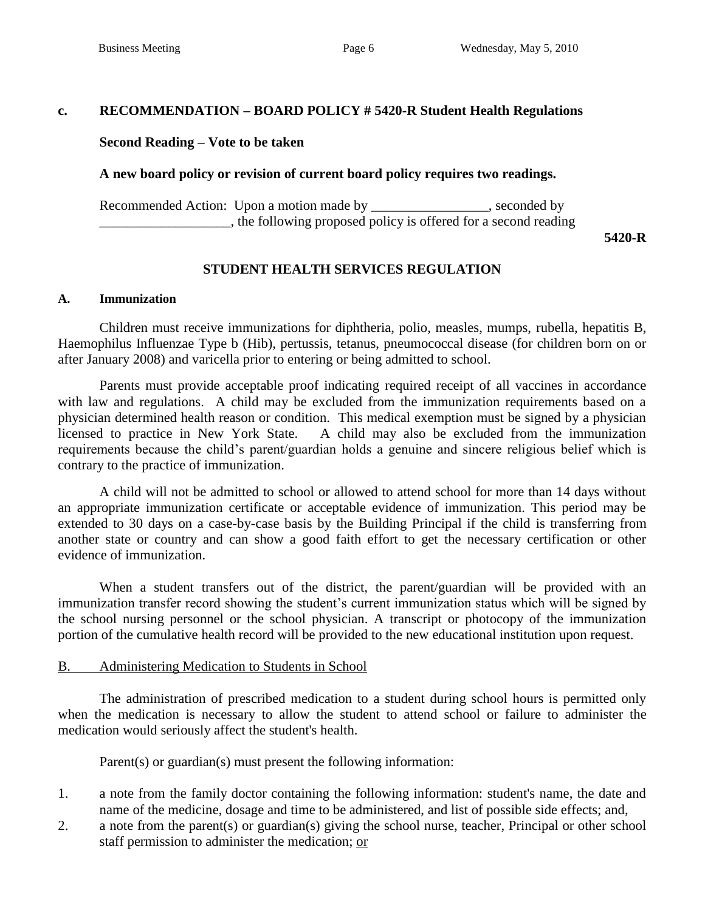#### **c. RECOMMENDATION – BOARD POLICY # 5420-R Student Health Regulations**

#### **Second Reading – Vote to be taken**

#### **A new board policy or revision of current board policy requires two readings.**

Recommended Action: Upon a motion made by seconded by seconded by \_\_\_\_\_\_\_\_\_\_\_\_\_\_\_\_\_\_\_, the following proposed policy is offered for a second reading

**5420-R**

#### **STUDENT HEALTH SERVICES REGULATION**

#### **A. Immunization**

Children must receive immunizations for diphtheria, polio, measles, mumps, rubella, hepatitis B, Haemophilus Influenzae Type b (Hib), pertussis, tetanus, pneumococcal disease (for children born on or after January 2008) and varicella prior to entering or being admitted to school.

Parents must provide acceptable proof indicating required receipt of all vaccines in accordance with law and regulations. A child may be excluded from the immunization requirements based on a physician determined health reason or condition. This medical exemption must be signed by a physician licensed to practice in New York State. A child may also be excluded from the immunization requirements because the child's parent/guardian holds a genuine and sincere religious belief which is contrary to the practice of immunization.

A child will not be admitted to school or allowed to attend school for more than 14 days without an appropriate immunization certificate or acceptable evidence of immunization. This period may be extended to 30 days on a case-by-case basis by the Building Principal if the child is transferring from another state or country and can show a good faith effort to get the necessary certification or other evidence of immunization.

When a student transfers out of the district, the parent/guardian will be provided with an immunization transfer record showing the student's current immunization status which will be signed by the school nursing personnel or the school physician. A transcript or photocopy of the immunization portion of the cumulative health record will be provided to the new educational institution upon request.

#### B. Administering Medication to Students in School

The administration of prescribed medication to a student during school hours is permitted only when the medication is necessary to allow the student to attend school or failure to administer the medication would seriously affect the student's health.

Parent(s) or guardian(s) must present the following information:

- 1. a note from the family doctor containing the following information: student's name, the date and name of the medicine, dosage and time to be administered, and list of possible side effects; and,
- 2. a note from the parent(s) or guardian(s) giving the school nurse, teacher, Principal or other school staff permission to administer the medication; or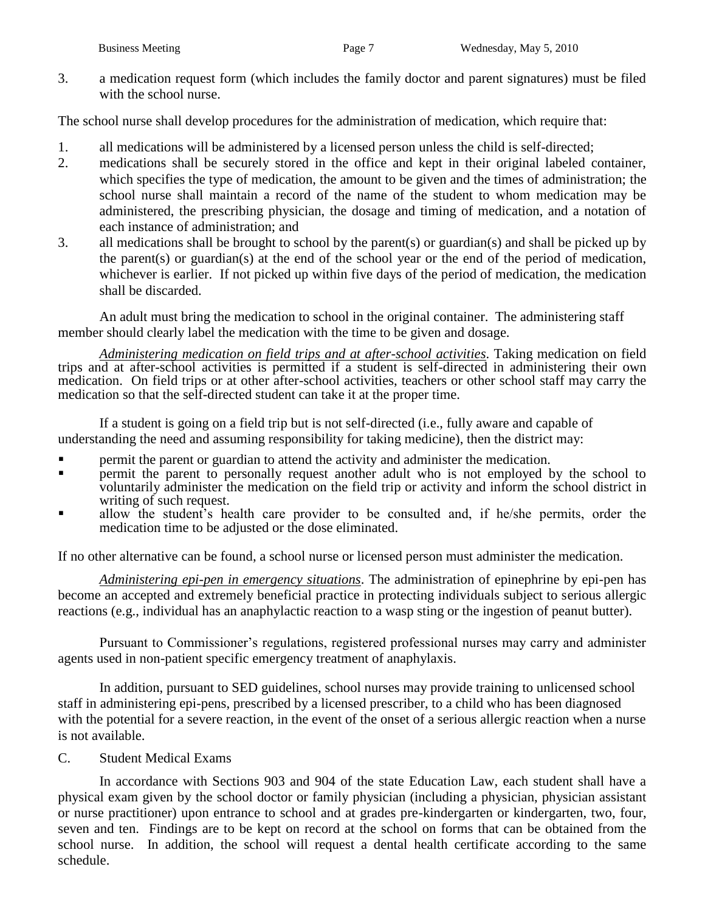3. a medication request form (which includes the family doctor and parent signatures) must be filed with the school nurse.

The school nurse shall develop procedures for the administration of medication, which require that:

- 1. all medications will be administered by a licensed person unless the child is self-directed;
- 2. medications shall be securely stored in the office and kept in their original labeled container, which specifies the type of medication, the amount to be given and the times of administration; the school nurse shall maintain a record of the name of the student to whom medication may be administered, the prescribing physician, the dosage and timing of medication, and a notation of each instance of administration; and
- 3. all medications shall be brought to school by the parent(s) or guardian(s) and shall be picked up by the parent(s) or guardian(s) at the end of the school year or the end of the period of medication, whichever is earlier. If not picked up within five days of the period of medication, the medication shall be discarded.

An adult must bring the medication to school in the original container. The administering staff member should clearly label the medication with the time to be given and dosage.

*Administering medication on field trips and at after-school activities*. Taking medication on field trips and at after-school activities is permitted if a student is self-directed in administering their own medication. On field trips or at other after-school activities, teachers or other school staff may carry the medication so that the self-directed student can take it at the proper time.

If a student is going on a field trip but is not self-directed (i.e., fully aware and capable of understanding the need and assuming responsibility for taking medicine), then the district may:

- **Paramelerishment** parent or guardian to attend the activity and administer the medication.
- **Permit the parent to personally request another adult who is not employed by the school to** voluntarily administer the medication on the field trip or activity and inform the school district in writing of such request.
- allow the student's health care provider to be consulted and, if he/she permits, order the medication time to be adjusted or the dose eliminated.

If no other alternative can be found, a school nurse or licensed person must administer the medication.

*Administering epi-pen in emergency situations*. The administration of epinephrine by epi-pen has become an accepted and extremely beneficial practice in protecting individuals subject to serious allergic reactions (e.g., individual has an anaphylactic reaction to a wasp sting or the ingestion of peanut butter).

Pursuant to Commissioner's regulations, registered professional nurses may carry and administer agents used in non-patient specific emergency treatment of anaphylaxis.

In addition, pursuant to SED guidelines, school nurses may provide training to unlicensed school staff in administering epi-pens, prescribed by a licensed prescriber, to a child who has been diagnosed with the potential for a severe reaction, in the event of the onset of a serious allergic reaction when a nurse is not available.

C. Student Medical Exams

In accordance with Sections 903 and 904 of the state Education Law, each student shall have a physical exam given by the school doctor or family physician (including a physician, physician assistant or nurse practitioner) upon entrance to school and at grades pre-kindergarten or kindergarten, two, four, seven and ten. Findings are to be kept on record at the school on forms that can be obtained from the school nurse. In addition, the school will request a dental health certificate according to the same schedule.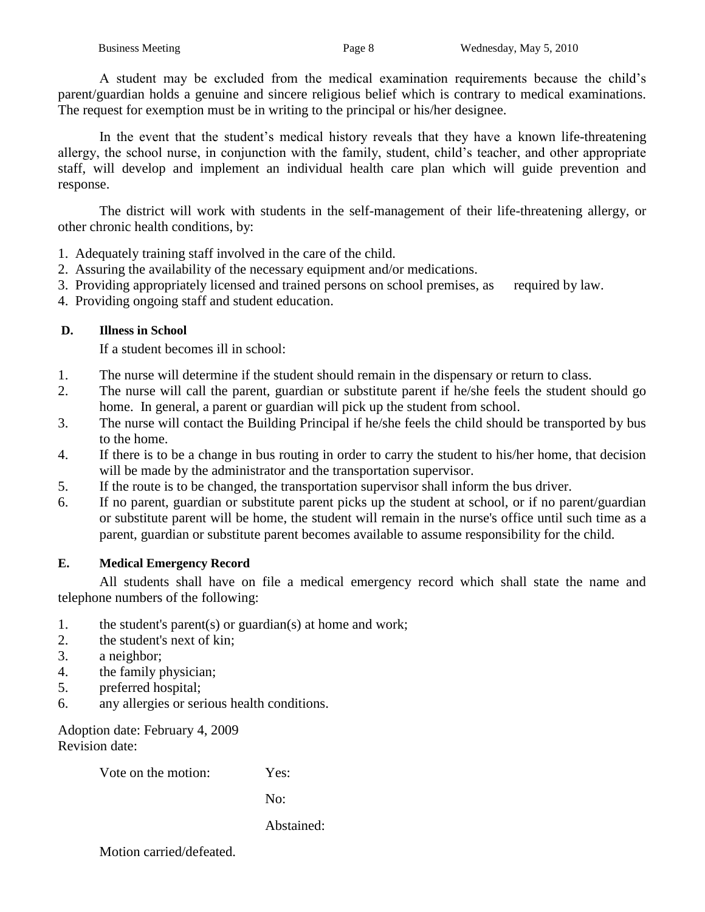A student may be excluded from the medical examination requirements because the child's parent/guardian holds a genuine and sincere religious belief which is contrary to medical examinations. The request for exemption must be in writing to the principal or his/her designee.

In the event that the student's medical history reveals that they have a known life-threatening allergy, the school nurse, in conjunction with the family, student, child's teacher, and other appropriate staff, will develop and implement an individual health care plan which will guide prevention and response.

The district will work with students in the self-management of their life-threatening allergy, or other chronic health conditions, by:

- 1. Adequately training staff involved in the care of the child.
- 2. Assuring the availability of the necessary equipment and/or medications.
- 3. Providing appropriately licensed and trained persons on school premises, as required by law.
- 4. Providing ongoing staff and student education.

## **D. Illness in School**

If a student becomes ill in school:

- 1. The nurse will determine if the student should remain in the dispensary or return to class.
- 2. The nurse will call the parent, guardian or substitute parent if he/she feels the student should go home. In general, a parent or guardian will pick up the student from school.
- 3. The nurse will contact the Building Principal if he/she feels the child should be transported by bus to the home.
- 4. If there is to be a change in bus routing in order to carry the student to his/her home, that decision will be made by the administrator and the transportation supervisor.
- 5. If the route is to be changed, the transportation supervisor shall inform the bus driver.
- 6. If no parent, guardian or substitute parent picks up the student at school, or if no parent/guardian or substitute parent will be home, the student will remain in the nurse's office until such time as a parent, guardian or substitute parent becomes available to assume responsibility for the child.

## **E. Medical Emergency Record**

All students shall have on file a medical emergency record which shall state the name and telephone numbers of the following:

- 1. the student's parent(s) or guardian(s) at home and work;
- 2. the student's next of kin;
- 3. a neighbor;
- 4. the family physician;
- 5. preferred hospital;
- 6. any allergies or serious health conditions.

Adoption date: February 4, 2009 Revision date:

Vote on the motion: Yes:

No:

Abstained: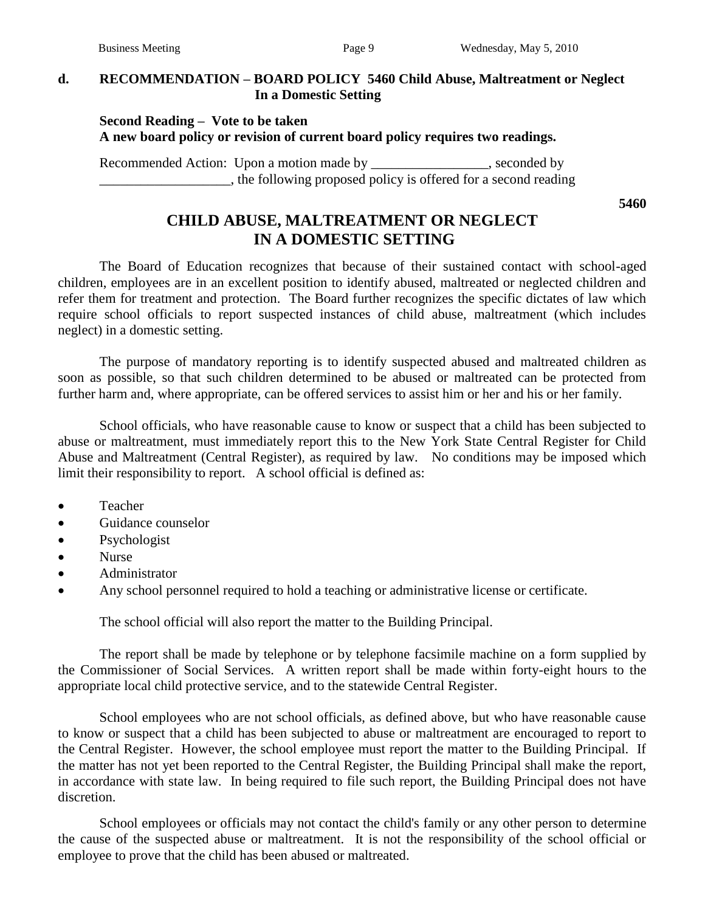## **d. RECOMMENDATION – BOARD POLICY 5460 Child Abuse, Maltreatment or Neglect In a Domestic Setting**

#### **Second Reading – Vote to be taken A new board policy or revision of current board policy requires two readings.**

Recommended Action: Upon a motion made by \_\_\_\_\_\_\_\_\_\_\_\_\_\_\_\_, seconded by \_\_\_\_\_\_\_\_\_\_\_\_\_\_\_\_\_\_\_, the following proposed policy is offered for a second reading

**5460**

# **CHILD ABUSE, MALTREATMENT OR NEGLECT IN A DOMESTIC SETTING**

The Board of Education recognizes that because of their sustained contact with school-aged children, employees are in an excellent position to identify abused, maltreated or neglected children and refer them for treatment and protection. The Board further recognizes the specific dictates of law which require school officials to report suspected instances of child abuse, maltreatment (which includes neglect) in a domestic setting.

The purpose of mandatory reporting is to identify suspected abused and maltreated children as soon as possible, so that such children determined to be abused or maltreated can be protected from further harm and, where appropriate, can be offered services to assist him or her and his or her family.

School officials, who have reasonable cause to know or suspect that a child has been subjected to abuse or maltreatment, must immediately report this to the New York State Central Register for Child Abuse and Maltreatment (Central Register), as required by law. No conditions may be imposed which limit their responsibility to report. A school official is defined as:

- Teacher
- Guidance counselor
- Psychologist
- Nurse
- Administrator
- Any school personnel required to hold a teaching or administrative license or certificate.

The school official will also report the matter to the Building Principal.

The report shall be made by telephone or by telephone facsimile machine on a form supplied by the Commissioner of Social Services. A written report shall be made within forty-eight hours to the appropriate local child protective service, and to the statewide Central Register.

School employees who are not school officials, as defined above, but who have reasonable cause to know or suspect that a child has been subjected to abuse or maltreatment are encouraged to report to the Central Register. However, the school employee must report the matter to the Building Principal. If the matter has not yet been reported to the Central Register, the Building Principal shall make the report, in accordance with state law. In being required to file such report, the Building Principal does not have discretion.

School employees or officials may not contact the child's family or any other person to determine the cause of the suspected abuse or maltreatment. It is not the responsibility of the school official or employee to prove that the child has been abused or maltreated.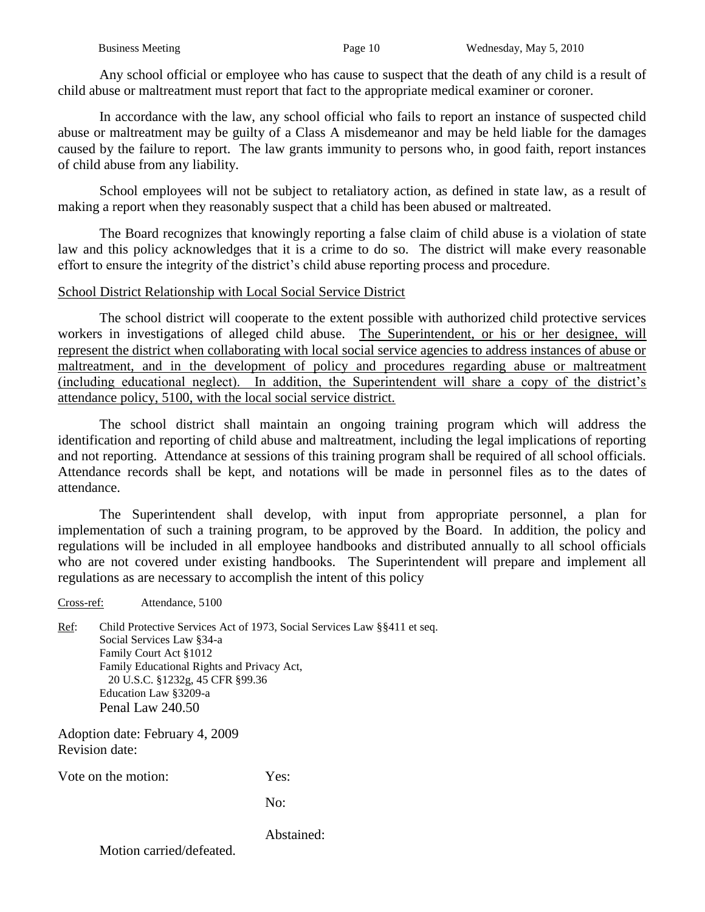Any school official or employee who has cause to suspect that the death of any child is a result of child abuse or maltreatment must report that fact to the appropriate medical examiner or coroner.

In accordance with the law, any school official who fails to report an instance of suspected child abuse or maltreatment may be guilty of a Class A misdemeanor and may be held liable for the damages caused by the failure to report. The law grants immunity to persons who, in good faith, report instances of child abuse from any liability.

School employees will not be subject to retaliatory action, as defined in state law, as a result of making a report when they reasonably suspect that a child has been abused or maltreated.

The Board recognizes that knowingly reporting a false claim of child abuse is a violation of state law and this policy acknowledges that it is a crime to do so. The district will make every reasonable effort to ensure the integrity of the district's child abuse reporting process and procedure.

#### School District Relationship with Local Social Service District

The school district will cooperate to the extent possible with authorized child protective services workers in investigations of alleged child abuse. The Superintendent, or his or her designee, will represent the district when collaborating with local social service agencies to address instances of abuse or maltreatment, and in the development of policy and procedures regarding abuse or maltreatment (including educational neglect). In addition, the Superintendent will share a copy of the district's attendance policy, 5100, with the local social service district.

The school district shall maintain an ongoing training program which will address the identification and reporting of child abuse and maltreatment, including the legal implications of reporting and not reporting. Attendance at sessions of this training program shall be required of all school officials. Attendance records shall be kept, and notations will be made in personnel files as to the dates of attendance.

The Superintendent shall develop, with input from appropriate personnel, a plan for implementation of such a training program, to be approved by the Board. In addition, the policy and regulations will be included in all employee handbooks and distributed annually to all school officials who are not covered under existing handbooks. The Superintendent will prepare and implement all regulations as are necessary to accomplish the intent of this policy

Ref: Child Protective Services Act of 1973, Social Services Law §§411 et seq. Social Services Law §34-a Family Court Act §1012 Family Educational Rights and Privacy Act, 20 U.S.C. §1232g, 45 CFR §99.36 Education Law §3209-a Penal Law 240.50

Adoption date: February 4, 2009 Revision date:

Cross-ref: Attendance, 5100

Vote on the motion: Yes:

No:

Abstained: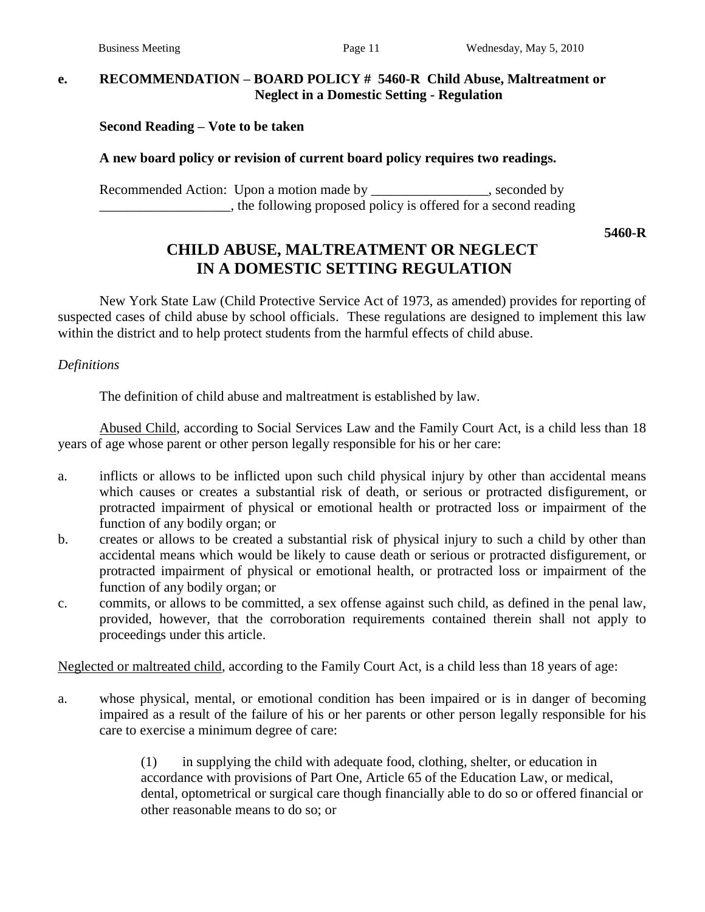## **e. RECOMMENDATION – BOARD POLICY # 5460-R Child Abuse, Maltreatment or Neglect in a Domestic Setting - Regulation**

**Second Reading – Vote to be taken**

#### **A new board policy or revision of current board policy requires two readings.**

Recommended Action: Upon a motion made by \_\_\_\_\_\_\_\_\_\_\_\_\_\_\_, seconded by \_\_\_\_\_\_\_\_\_\_\_\_\_\_\_\_\_\_\_, the following proposed policy is offered for a second reading

**5460-R**

# **CHILD ABUSE, MALTREATMENT OR NEGLECT IN A DOMESTIC SETTING REGULATION**

New York State Law (Child Protective Service Act of 1973, as amended) provides for reporting of suspected cases of child abuse by school officials. These regulations are designed to implement this law within the district and to help protect students from the harmful effects of child abuse.

#### *Definitions*

The definition of child abuse and maltreatment is established by law.

Abused Child, according to Social Services Law and the Family Court Act, is a child less than 18 years of age whose parent or other person legally responsible for his or her care:

- a. inflicts or allows to be inflicted upon such child physical injury by other than accidental means which causes or creates a substantial risk of death, or serious or protracted disfigurement, or protracted impairment of physical or emotional health or protracted loss or impairment of the function of any bodily organ; or
- b. creates or allows to be created a substantial risk of physical injury to such a child by other than accidental means which would be likely to cause death or serious or protracted disfigurement, or protracted impairment of physical or emotional health, or protracted loss or impairment of the function of any bodily organ; or
- c. commits, or allows to be committed, a sex offense against such child, as defined in the penal law, provided, however, that the corroboration requirements contained therein shall not apply to proceedings under this article.

Neglected or maltreated child, according to the Family Court Act, is a child less than 18 years of age:

a. whose physical, mental, or emotional condition has been impaired or is in danger of becoming impaired as a result of the failure of his or her parents or other person legally responsible for his care to exercise a minimum degree of care:

> (1) in supplying the child with adequate food, clothing, shelter, or education in accordance with provisions of Part One, Article 65 of the Education Law, or medical, dental, optometrical or surgical care though financially able to do so or offered financial or other reasonable means to do so; or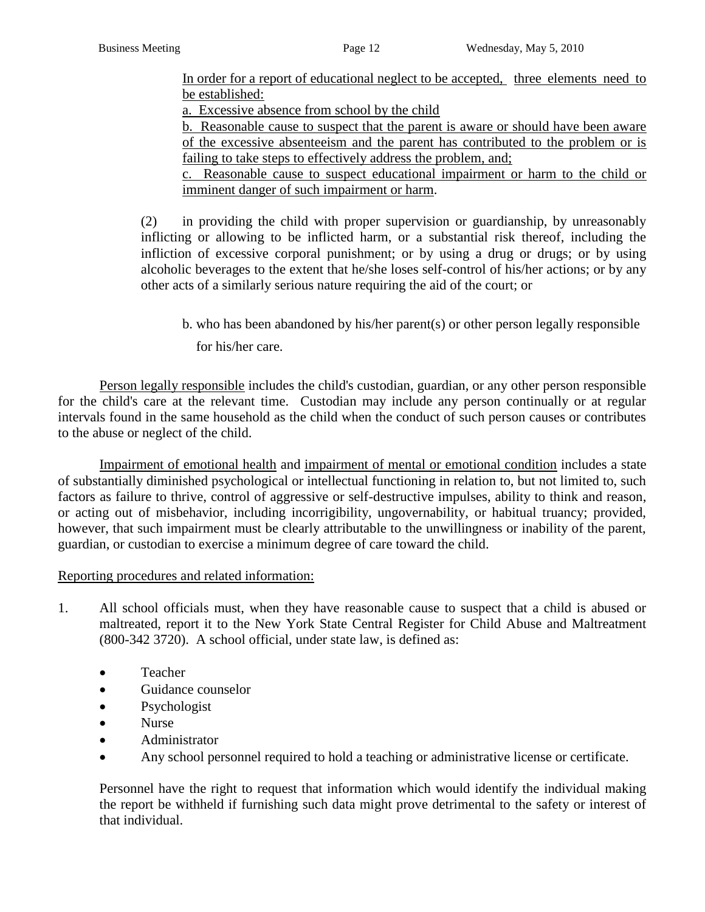In order for a report of educational neglect to be accepted, three elements need to be established:

a. Excessive absence from school by the child

b. Reasonable cause to suspect that the parent is aware or should have been aware of the excessive absenteeism and the parent has contributed to the problem or is failing to take steps to effectively address the problem, and;

c. Reasonable cause to suspect educational impairment or harm to the child or imminent danger of such impairment or harm.

(2) in providing the child with proper supervision or guardianship, by unreasonably inflicting or allowing to be inflicted harm, or a substantial risk thereof, including the infliction of excessive corporal punishment; or by using a drug or drugs; or by using alcoholic beverages to the extent that he/she loses self-control of his/her actions; or by any other acts of a similarly serious nature requiring the aid of the court; or

b. who has been abandoned by his/her parent(s) or other person legally responsible

for his/her care.

Person legally responsible includes the child's custodian, guardian, or any other person responsible for the child's care at the relevant time. Custodian may include any person continually or at regular intervals found in the same household as the child when the conduct of such person causes or contributes to the abuse or neglect of the child.

Impairment of emotional health and impairment of mental or emotional condition includes a state of substantially diminished psychological or intellectual functioning in relation to, but not limited to, such factors as failure to thrive, control of aggressive or self-destructive impulses, ability to think and reason, or acting out of misbehavior, including incorrigibility, ungovernability, or habitual truancy; provided, however, that such impairment must be clearly attributable to the unwillingness or inability of the parent, guardian, or custodian to exercise a minimum degree of care toward the child.

## Reporting procedures and related information:

- 1. All school officials must, when they have reasonable cause to suspect that a child is abused or maltreated, report it to the New York State Central Register for Child Abuse and Maltreatment (800-342 3720). A school official, under state law, is defined as:
	- Teacher
	- Guidance counselor
	- Psychologist
	- Nurse
	- Administrator
	- Any school personnel required to hold a teaching or administrative license or certificate.

Personnel have the right to request that information which would identify the individual making the report be withheld if furnishing such data might prove detrimental to the safety or interest of that individual.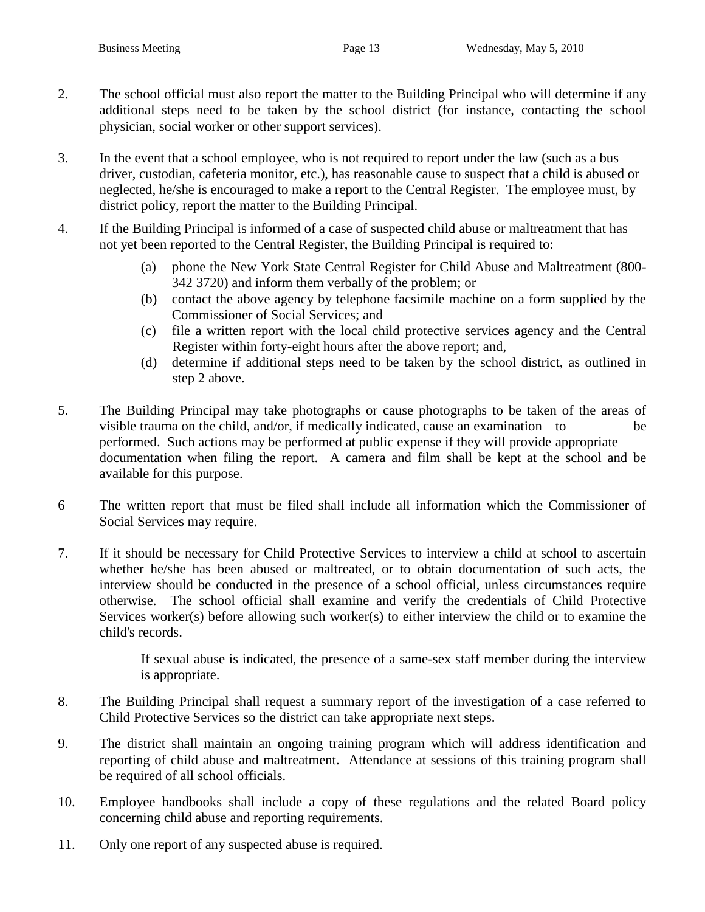- 2. The school official must also report the matter to the Building Principal who will determine if any additional steps need to be taken by the school district (for instance, contacting the school physician, social worker or other support services).
- 3. In the event that a school employee, who is not required to report under the law (such as a bus driver, custodian, cafeteria monitor, etc.), has reasonable cause to suspect that a child is abused or neglected, he/she is encouraged to make a report to the Central Register. The employee must, by district policy, report the matter to the Building Principal.
- 4. If the Building Principal is informed of a case of suspected child abuse or maltreatment that has not yet been reported to the Central Register, the Building Principal is required to:
	- (a) phone the New York State Central Register for Child Abuse and Maltreatment (800- 342 3720) and inform them verbally of the problem; or
	- (b) contact the above agency by telephone facsimile machine on a form supplied by the Commissioner of Social Services; and
	- (c) file a written report with the local child protective services agency and the Central Register within forty-eight hours after the above report; and,
	- (d) determine if additional steps need to be taken by the school district, as outlined in step 2 above.
- 5. The Building Principal may take photographs or cause photographs to be taken of the areas of visible trauma on the child, and/or, if medically indicated, cause an examination to be performed. Such actions may be performed at public expense if they will provide appropriate documentation when filing the report. A camera and film shall be kept at the school and be available for this purpose.
- 6 The written report that must be filed shall include all information which the Commissioner of Social Services may require.
- 7. If it should be necessary for Child Protective Services to interview a child at school to ascertain whether he/she has been abused or maltreated, or to obtain documentation of such acts, the interview should be conducted in the presence of a school official, unless circumstances require otherwise. The school official shall examine and verify the credentials of Child Protective Services worker(s) before allowing such worker(s) to either interview the child or to examine the child's records.

If sexual abuse is indicated, the presence of a same-sex staff member during the interview is appropriate.

- 8. The Building Principal shall request a summary report of the investigation of a case referred to Child Protective Services so the district can take appropriate next steps.
- 9. The district shall maintain an ongoing training program which will address identification and reporting of child abuse and maltreatment. Attendance at sessions of this training program shall be required of all school officials.
- 10. Employee handbooks shall include a copy of these regulations and the related Board policy concerning child abuse and reporting requirements.
- 11. Only one report of any suspected abuse is required.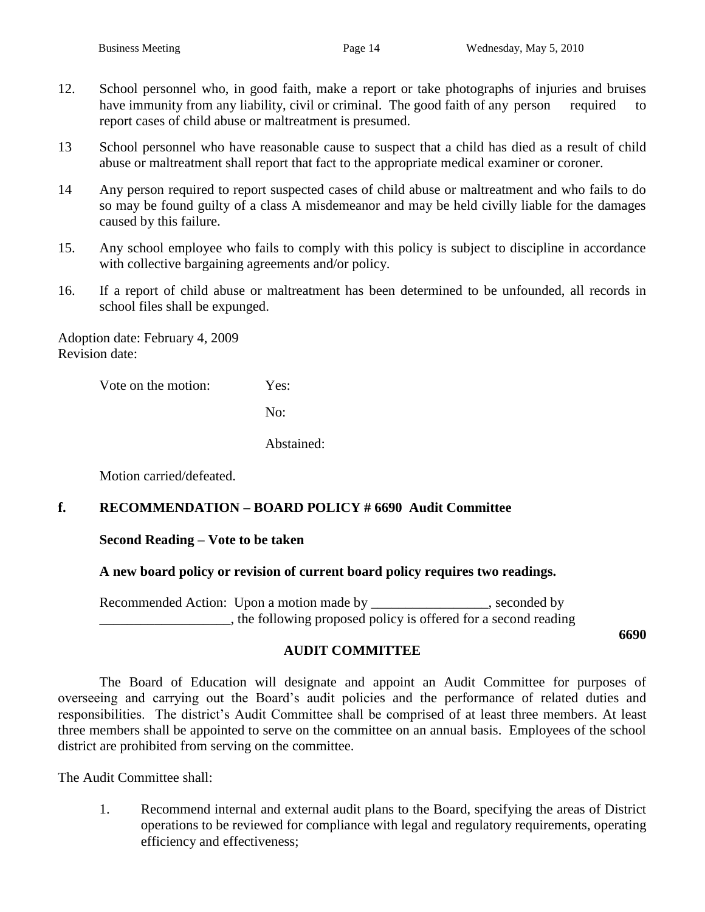- 12. School personnel who, in good faith, make a report or take photographs of injuries and bruises have immunity from any liability, civil or criminal. The good faith of any person required to report cases of child abuse or maltreatment is presumed.
- 13 School personnel who have reasonable cause to suspect that a child has died as a result of child abuse or maltreatment shall report that fact to the appropriate medical examiner or coroner.
- 14 Any person required to report suspected cases of child abuse or maltreatment and who fails to do so may be found guilty of a class A misdemeanor and may be held civilly liable for the damages caused by this failure.
- 15. Any school employee who fails to comply with this policy is subject to discipline in accordance with collective bargaining agreements and/or policy.
- 16. If a report of child abuse or maltreatment has been determined to be unfounded, all records in school files shall be expunged.

Adoption date: February 4, 2009 Revision date:

Vote on the motion: Yes:

No:

Abstained:

Motion carried/defeated.

## **f. RECOMMENDATION – BOARD POLICY # 6690 Audit Committee**

#### **Second Reading – Vote to be taken**

#### **A new board policy or revision of current board policy requires two readings.**

Recommended Action: Upon a motion made by \_\_\_\_\_\_\_\_\_\_\_\_\_\_\_\_, seconded by \_\_\_\_\_\_\_\_\_\_\_\_\_\_\_\_\_\_\_, the following proposed policy is offered for a second reading

**6690**

## **AUDIT COMMITTEE**

The Board of Education will designate and appoint an Audit Committee for purposes of overseeing and carrying out the Board's audit policies and the performance of related duties and responsibilities. The district's Audit Committee shall be comprised of at least three members. At least three members shall be appointed to serve on the committee on an annual basis. Employees of the school district are prohibited from serving on the committee.

The Audit Committee shall:

1. Recommend internal and external audit plans to the Board, specifying the areas of District operations to be reviewed for compliance with legal and regulatory requirements, operating efficiency and effectiveness;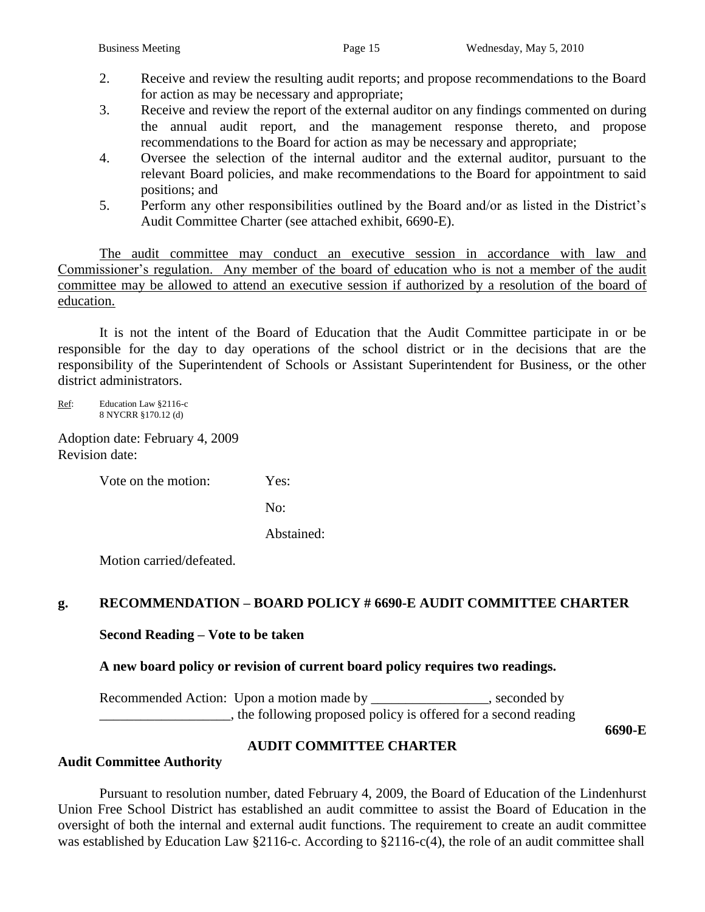- 2. Receive and review the resulting audit reports; and propose recommendations to the Board for action as may be necessary and appropriate;
- 3. Receive and review the report of the external auditor on any findings commented on during the annual audit report, and the management response thereto, and propose recommendations to the Board for action as may be necessary and appropriate;
- 4. Oversee the selection of the internal auditor and the external auditor, pursuant to the relevant Board policies, and make recommendations to the Board for appointment to said positions; and
- 5. Perform any other responsibilities outlined by the Board and/or as listed in the District's Audit Committee Charter (see attached exhibit, 6690-E).

The audit committee may conduct an executive session in accordance with law and Commissioner's regulation. Any member of the board of education who is not a member of the audit committee may be allowed to attend an executive session if authorized by a resolution of the board of education.

It is not the intent of the Board of Education that the Audit Committee participate in or be responsible for the day to day operations of the school district or in the decisions that are the responsibility of the Superintendent of Schools or Assistant Superintendent for Business, or the other district administrators.

Ref: Education Law §2116-c 8 NYCRR §170.12 (d)

Adoption date: February 4, 2009 Revision date:

Vote on the motion: Yes:

No:

Abstained:

Motion carried/defeated.

## **g. RECOMMENDATION – BOARD POLICY # 6690-E AUDIT COMMITTEE CHARTER**

**Second Reading – Vote to be taken**

**A new board policy or revision of current board policy requires two readings.**

Recommended Action: Upon a motion made by \_\_\_\_\_\_\_\_\_\_\_\_\_\_\_\_, seconded by \_\_\_\_\_\_\_\_\_\_\_\_\_\_\_\_\_\_\_, the following proposed policy is offered for a second reading

**6690-E**

## **AUDIT COMMITTEE CHARTER**

## **Audit Committee Authority**

Pursuant to resolution number, dated February 4, 2009, the Board of Education of the Lindenhurst Union Free School District has established an audit committee to assist the Board of Education in the oversight of both the internal and external audit functions. The requirement to create an audit committee was established by Education Law §2116-c. According to §2116-c(4), the role of an audit committee shall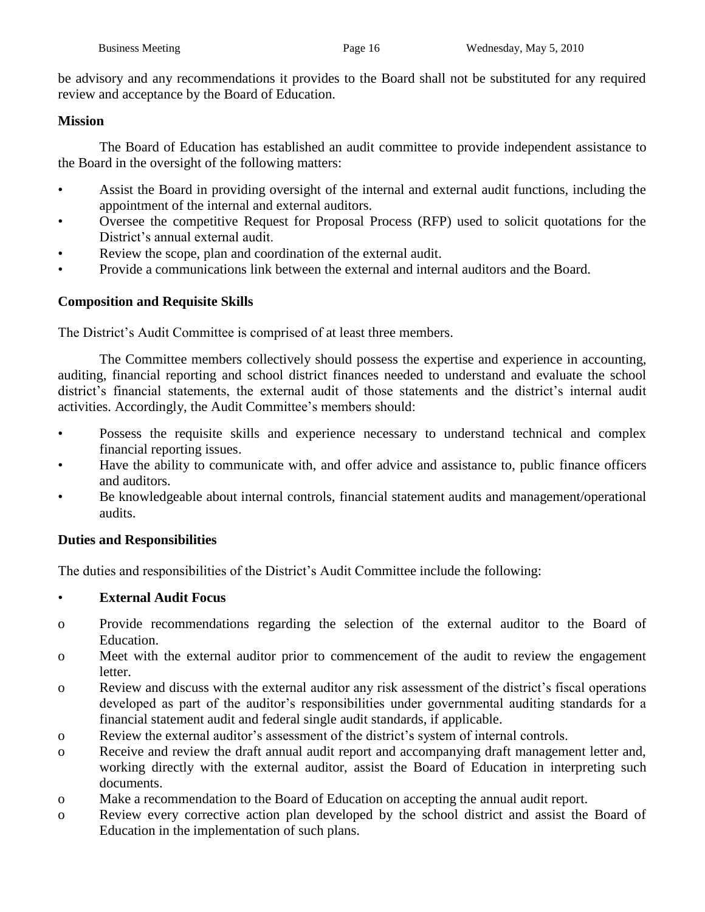be advisory and any recommendations it provides to the Board shall not be substituted for any required review and acceptance by the Board of Education.

#### **Mission**

The Board of Education has established an audit committee to provide independent assistance to the Board in the oversight of the following matters:

- Assist the Board in providing oversight of the internal and external audit functions, including the appointment of the internal and external auditors.
- Oversee the competitive Request for Proposal Process (RFP) used to solicit quotations for the District's annual external audit.
- Review the scope, plan and coordination of the external audit.
- Provide a communications link between the external and internal auditors and the Board.

## **Composition and Requisite Skills**

The District's Audit Committee is comprised of at least three members.

The Committee members collectively should possess the expertise and experience in accounting, auditing, financial reporting and school district finances needed to understand and evaluate the school district's financial statements, the external audit of those statements and the district's internal audit activities. Accordingly, the Audit Committee's members should:

- Possess the requisite skills and experience necessary to understand technical and complex financial reporting issues.
- Have the ability to communicate with, and offer advice and assistance to, public finance officers and auditors.
- Be knowledgeable about internal controls, financial statement audits and management/operational audits.

## **Duties and Responsibilities**

The duties and responsibilities of the District's Audit Committee include the following:

## • **External Audit Focus**

- o Provide recommendations regarding the selection of the external auditor to the Board of Education.
- o Meet with the external auditor prior to commencement of the audit to review the engagement letter.
- o Review and discuss with the external auditor any risk assessment of the district's fiscal operations developed as part of the auditor's responsibilities under governmental auditing standards for a financial statement audit and federal single audit standards, if applicable.
- o Review the external auditor's assessment of the district's system of internal controls.
- o Receive and review the draft annual audit report and accompanying draft management letter and, working directly with the external auditor, assist the Board of Education in interpreting such documents.
- o Make a recommendation to the Board of Education on accepting the annual audit report.
- o Review every corrective action plan developed by the school district and assist the Board of Education in the implementation of such plans.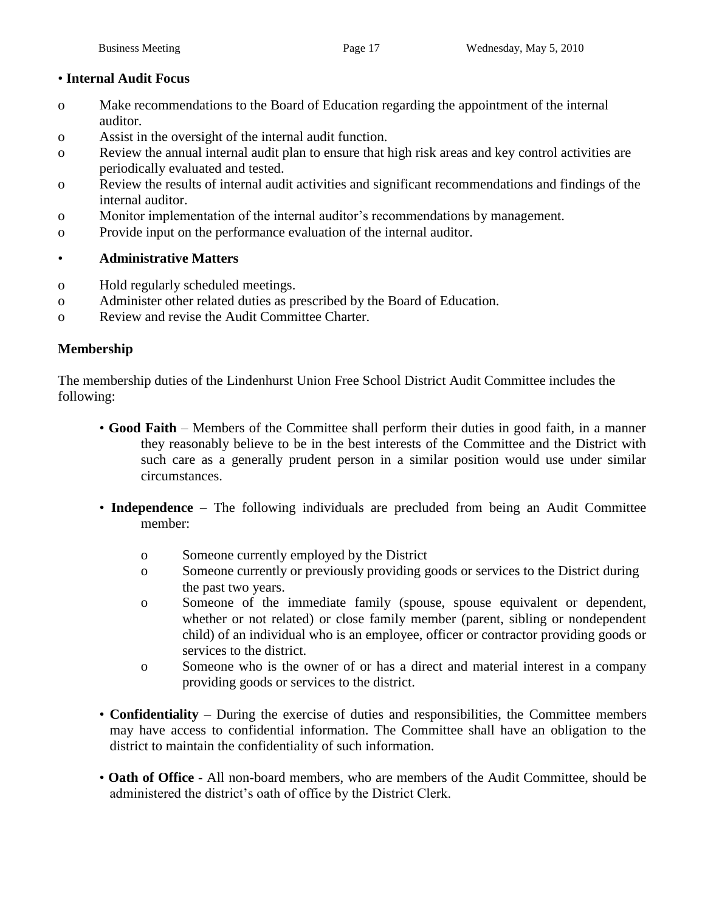## • **Internal Audit Focus**

- o Make recommendations to the Board of Education regarding the appointment of the internal auditor.
- o Assist in the oversight of the internal audit function.
- o Review the annual internal audit plan to ensure that high risk areas and key control activities are periodically evaluated and tested.
- o Review the results of internal audit activities and significant recommendations and findings of the internal auditor.
- o Monitor implementation of the internal auditor's recommendations by management.
- o Provide input on the performance evaluation of the internal auditor.

## • **Administrative Matters**

- o Hold regularly scheduled meetings.
- o Administer other related duties as prescribed by the Board of Education.
- o Review and revise the Audit Committee Charter.

## **Membership**

The membership duties of the Lindenhurst Union Free School District Audit Committee includes the following:

- **Good Faith** Members of the Committee shall perform their duties in good faith, in a manner they reasonably believe to be in the best interests of the Committee and the District with such care as a generally prudent person in a similar position would use under similar circumstances.
- **Independence** The following individuals are precluded from being an Audit Committee member:
	- o Someone currently employed by the District
	- o Someone currently or previously providing goods or services to the District during the past two years.
	- o Someone of the immediate family (spouse, spouse equivalent or dependent, whether or not related) or close family member (parent, sibling or nondependent child) of an individual who is an employee, officer or contractor providing goods or services to the district.
	- o Someone who is the owner of or has a direct and material interest in a company providing goods or services to the district.
- **Confidentiality** During the exercise of duties and responsibilities, the Committee members may have access to confidential information. The Committee shall have an obligation to the district to maintain the confidentiality of such information.
- **Oath of Office** All non-board members, who are members of the Audit Committee, should be administered the district's oath of office by the District Clerk.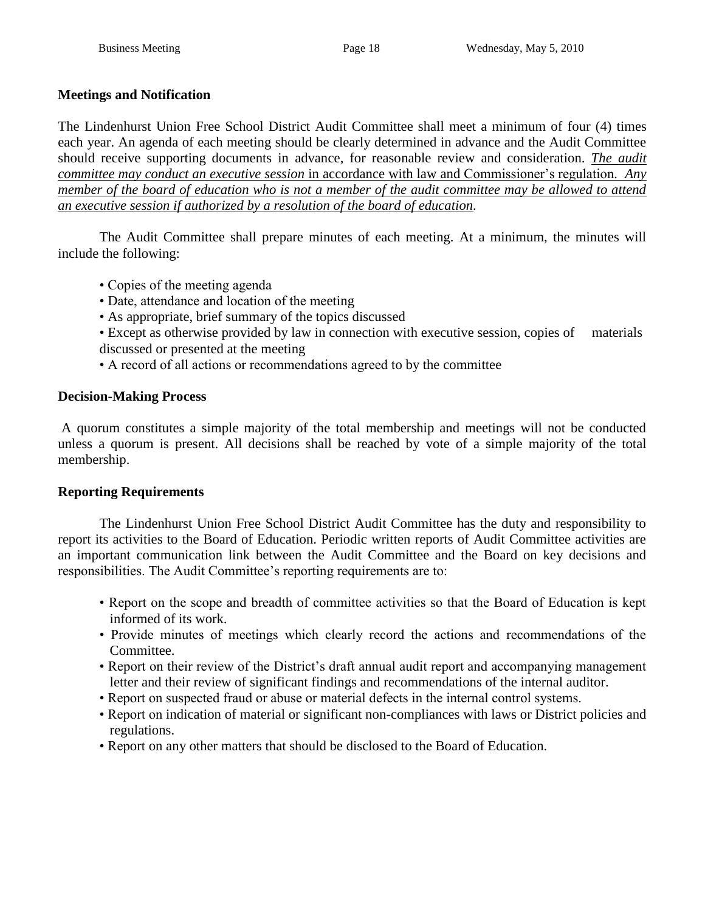## **Meetings and Notification**

The Lindenhurst Union Free School District Audit Committee shall meet a minimum of four (4) times each year. An agenda of each meeting should be clearly determined in advance and the Audit Committee should receive supporting documents in advance, for reasonable review and consideration. *The audit committee may conduct an executive session* in accordance with law and Commissioner's regulation*. Any member of the board of education who is not a member of the audit committee may be allowed to attend an executive session if authorized by a resolution of the board of education.*

The Audit Committee shall prepare minutes of each meeting. At a minimum, the minutes will include the following:

- Copies of the meeting agenda
- Date, attendance and location of the meeting
- As appropriate, brief summary of the topics discussed
- Except as otherwise provided by law in connection with executive session, copies of materials discussed or presented at the meeting
- A record of all actions or recommendations agreed to by the committee

## **Decision-Making Process**

A quorum constitutes a simple majority of the total membership and meetings will not be conducted unless a quorum is present. All decisions shall be reached by vote of a simple majority of the total membership.

## **Reporting Requirements**

The Lindenhurst Union Free School District Audit Committee has the duty and responsibility to report its activities to the Board of Education. Periodic written reports of Audit Committee activities are an important communication link between the Audit Committee and the Board on key decisions and responsibilities. The Audit Committee's reporting requirements are to:

- Report on the scope and breadth of committee activities so that the Board of Education is kept informed of its work.
- Provide minutes of meetings which clearly record the actions and recommendations of the Committee.
- Report on their review of the District's draft annual audit report and accompanying management letter and their review of significant findings and recommendations of the internal auditor.
- Report on suspected fraud or abuse or material defects in the internal control systems.
- Report on indication of material or significant non-compliances with laws or District policies and regulations.
- Report on any other matters that should be disclosed to the Board of Education.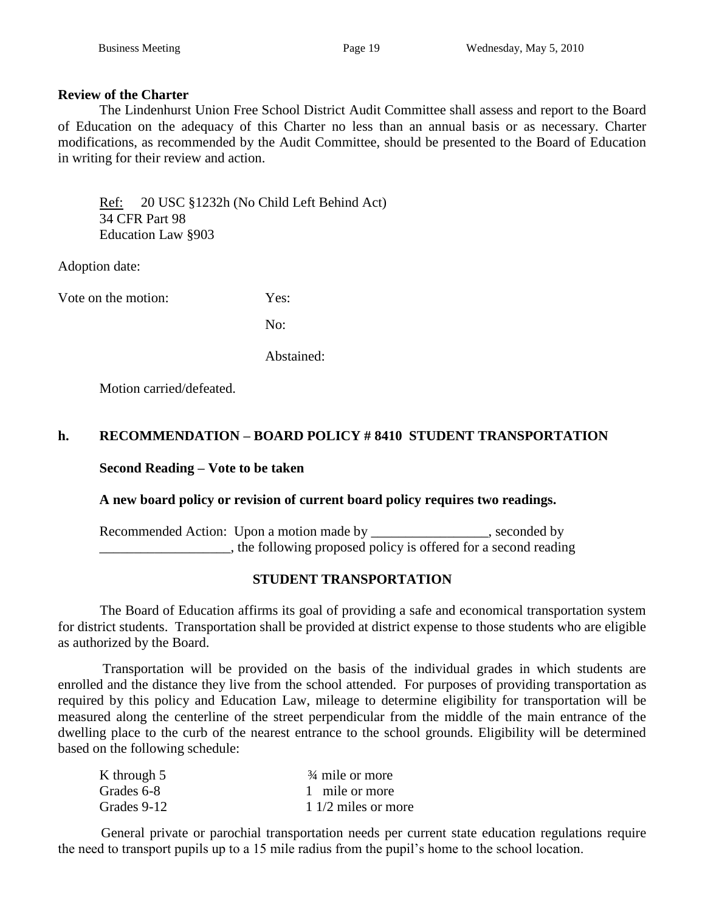#### **Review of the Charter**

The Lindenhurst Union Free School District Audit Committee shall assess and report to the Board of Education on the adequacy of this Charter no less than an annual basis or as necessary. Charter modifications, as recommended by the Audit Committee, should be presented to the Board of Education in writing for their review and action.

Ref: 20 USC §1232h (No Child Left Behind Act) 34 CFR Part 98 Education Law §903

Adoption date:

Vote on the motion: Yes:

No:

Abstained:

Motion carried/defeated.

## **h. RECOMMENDATION – BOARD POLICY # 8410 STUDENT TRANSPORTATION**

**Second Reading – Vote to be taken**

#### **A new board policy or revision of current board policy requires two readings.**

Recommended Action: Upon a motion made by \_\_\_\_\_\_\_\_\_\_\_\_\_\_\_\_, seconded by \_\_\_\_\_\_\_\_\_\_\_\_\_\_\_\_\_\_\_, the following proposed policy is offered for a second reading

## **STUDENT TRANSPORTATION**

 The Board of Education affirms its goal of providing a safe and economical transportation system for district students. Transportation shall be provided at district expense to those students who are eligible as authorized by the Board.

 Transportation will be provided on the basis of the individual grades in which students are enrolled and the distance they live from the school attended. For purposes of providing transportation as required by this policy and Education Law, mileage to determine eligibility for transportation will be measured along the centerline of the street perpendicular from the middle of the main entrance of the dwelling place to the curb of the nearest entrance to the school grounds. Eligibility will be determined based on the following schedule:

| K through 5 | $\frac{3}{4}$ mile or more |
|-------------|----------------------------|
| Grades 6-8  | 1 mile or more             |
| Grades 9-12 | $11/2$ miles or more       |

 General private or parochial transportation needs per current state education regulations require the need to transport pupils up to a 15 mile radius from the pupil's home to the school location.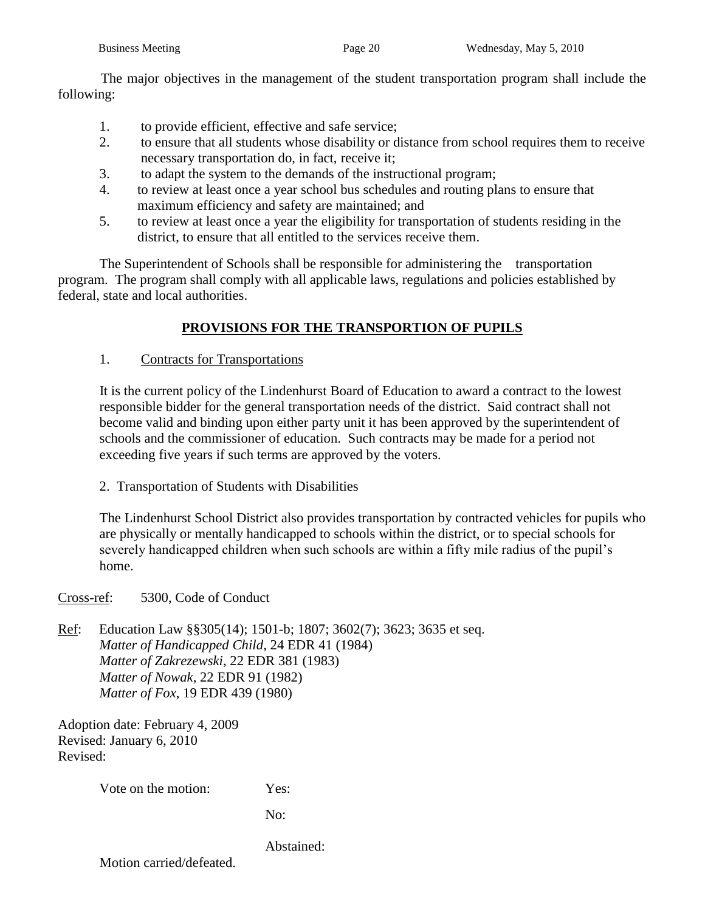The major objectives in the management of the student transportation program shall include the following:

- 1. to provide efficient, effective and safe service;
- 2. to ensure that all students whose disability or distance from school requires them to receive necessary transportation do, in fact, receive it;
- 3. to adapt the system to the demands of the instructional program;
- 4. to review at least once a year school bus schedules and routing plans to ensure that maximum efficiency and safety are maintained; and
- 5. to review at least once a year the eligibility for transportation of students residing in the district, to ensure that all entitled to the services receive them.

 The Superintendent of Schools shall be responsible for administering the transportation program. The program shall comply with all applicable laws, regulations and policies established by federal, state and local authorities.

## **PROVISIONS FOR THE TRANSPORTION OF PUPILS**

1. Contracts for Transportations

 It is the current policy of the Lindenhurst Board of Education to award a contract to the lowest responsible bidder for the general transportation needs of the district. Said contract shall not become valid and binding upon either party unit it has been approved by the superintendent of schools and the commissioner of education. Such contracts may be made for a period not exceeding five years if such terms are approved by the voters.

2. Transportation of Students with Disabilities

 The Lindenhurst School District also provides transportation by contracted vehicles for pupils who are physically or mentally handicapped to schools within the district, or to special schools for severely handicapped children when such schools are within a fifty mile radius of the pupil's home.

Cross-ref: 5300, Code of Conduct

Ref: Education Law §§305(14); 1501-b; 1807; 3602(7); 3623; 3635 et seq. *Matter of Handicapped Child*, 24 EDR 41 (1984) *Matter of Zakrezewski*, 22 EDR 381 (1983) *Matter of Nowak*, 22 EDR 91 (1982) *Matter of Fox*, 19 EDR 439 (1980)

Adoption date: February 4, 2009 Revised: January 6, 2010 Revised:

Vote on the motion: Yes:

No:

Abstained: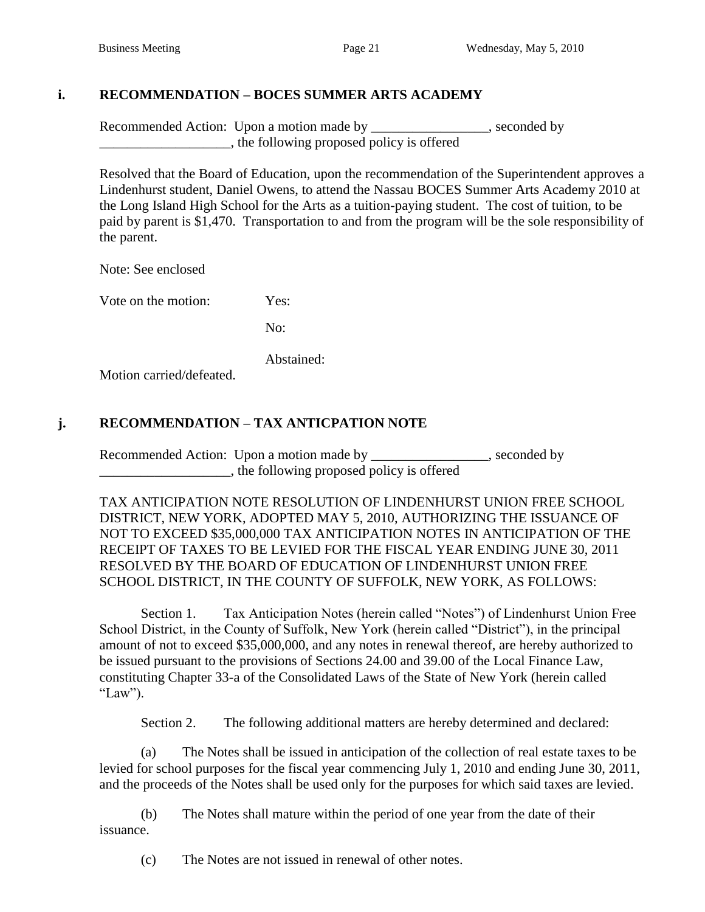## **i. RECOMMENDATION – BOCES SUMMER ARTS ACADEMY**

Recommended Action: Upon a motion made by \_\_\_\_\_\_\_\_\_\_\_\_\_\_\_, seconded by \_\_\_\_\_\_\_\_\_\_\_\_\_\_\_\_\_\_\_, the following proposed policy is offered

Resolved that the Board of Education, upon the recommendation of the Superintendent approves a Lindenhurst student, Daniel Owens, to attend the Nassau BOCES Summer Arts Academy 2010 at the Long Island High School for the Arts as a tuition-paying student. The cost of tuition, to be paid by parent is \$1,470. Transportation to and from the program will be the sole responsibility of the parent.

Note: See enclosed

Vote on the motion: Yes:

No:

Abstained:

Motion carried/defeated.

## **j. RECOMMENDATION – TAX ANTICPATION NOTE**

Recommended Action: Upon a motion made by \_\_\_\_\_\_\_\_\_\_\_\_\_\_\_\_, seconded by \_\_\_\_\_\_\_\_\_\_\_\_\_\_\_\_\_\_\_, the following proposed policy is offered

TAX ANTICIPATION NOTE RESOLUTION OF LINDENHURST UNION FREE SCHOOL DISTRICT, NEW YORK, ADOPTED MAY 5, 2010, AUTHORIZING THE ISSUANCE OF NOT TO EXCEED \$35,000,000 TAX ANTICIPATION NOTES IN ANTICIPATION OF THE RECEIPT OF TAXES TO BE LEVIED FOR THE FISCAL YEAR ENDING JUNE 30, 2011 RESOLVED BY THE BOARD OF EDUCATION OF LINDENHURST UNION FREE SCHOOL DISTRICT, IN THE COUNTY OF SUFFOLK, NEW YORK, AS FOLLOWS:

Section 1. Tax Anticipation Notes (herein called "Notes") of Lindenhurst Union Free School District, in the County of Suffolk, New York (herein called "District"), in the principal amount of not to exceed \$35,000,000, and any notes in renewal thereof, are hereby authorized to be issued pursuant to the provisions of Sections 24.00 and 39.00 of the Local Finance Law, constituting Chapter 33-a of the Consolidated Laws of the State of New York (herein called "Law").

Section 2. The following additional matters are hereby determined and declared:

(a) The Notes shall be issued in anticipation of the collection of real estate taxes to be levied for school purposes for the fiscal year commencing July 1, 2010 and ending June 30, 2011, and the proceeds of the Notes shall be used only for the purposes for which said taxes are levied.

(b) The Notes shall mature within the period of one year from the date of their issuance.

(c) The Notes are not issued in renewal of other notes.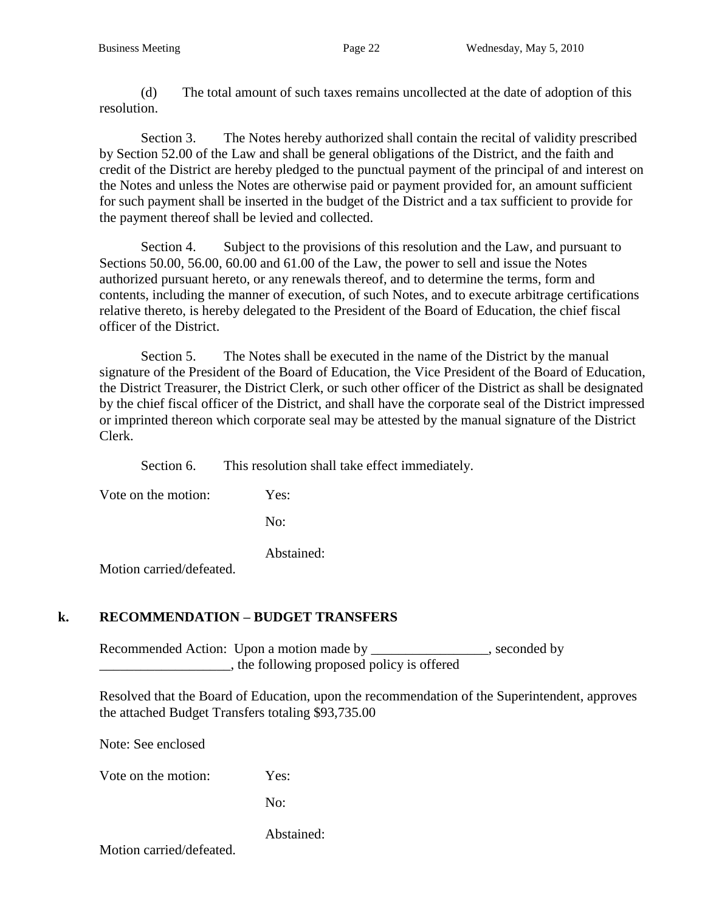(d) The total amount of such taxes remains uncollected at the date of adoption of this resolution.

Section 3. The Notes hereby authorized shall contain the recital of validity prescribed by Section 52.00 of the Law and shall be general obligations of the District, and the faith and credit of the District are hereby pledged to the punctual payment of the principal of and interest on the Notes and unless the Notes are otherwise paid or payment provided for, an amount sufficient for such payment shall be inserted in the budget of the District and a tax sufficient to provide for the payment thereof shall be levied and collected.

Section 4. Subject to the provisions of this resolution and the Law, and pursuant to Sections 50.00, 56.00, 60.00 and 61.00 of the Law, the power to sell and issue the Notes authorized pursuant hereto, or any renewals thereof, and to determine the terms, form and contents, including the manner of execution, of such Notes, and to execute arbitrage certifications relative thereto, is hereby delegated to the President of the Board of Education, the chief fiscal officer of the District.

Section 5. The Notes shall be executed in the name of the District by the manual signature of the President of the Board of Education, the Vice President of the Board of Education, the District Treasurer, the District Clerk, or such other officer of the District as shall be designated by the chief fiscal officer of the District, and shall have the corporate seal of the District impressed or imprinted thereon which corporate seal may be attested by the manual signature of the District Clerk.

Section 6. This resolution shall take effect immediately.

Vote on the motion: Yes:

No:

Abstained:

Motion carried/defeated.

## **k. RECOMMENDATION – BUDGET TRANSFERS**

Recommended Action: Upon a motion made by \_\_\_\_\_\_\_\_\_\_\_\_\_\_\_\_, seconded by **Example 2.1** The following proposed policy is offered

Resolved that the Board of Education, upon the recommendation of the Superintendent, approves the attached Budget Transfers totaling \$93,735.00

Note: See enclosed

Vote on the motion: Yes:

No:

Abstained: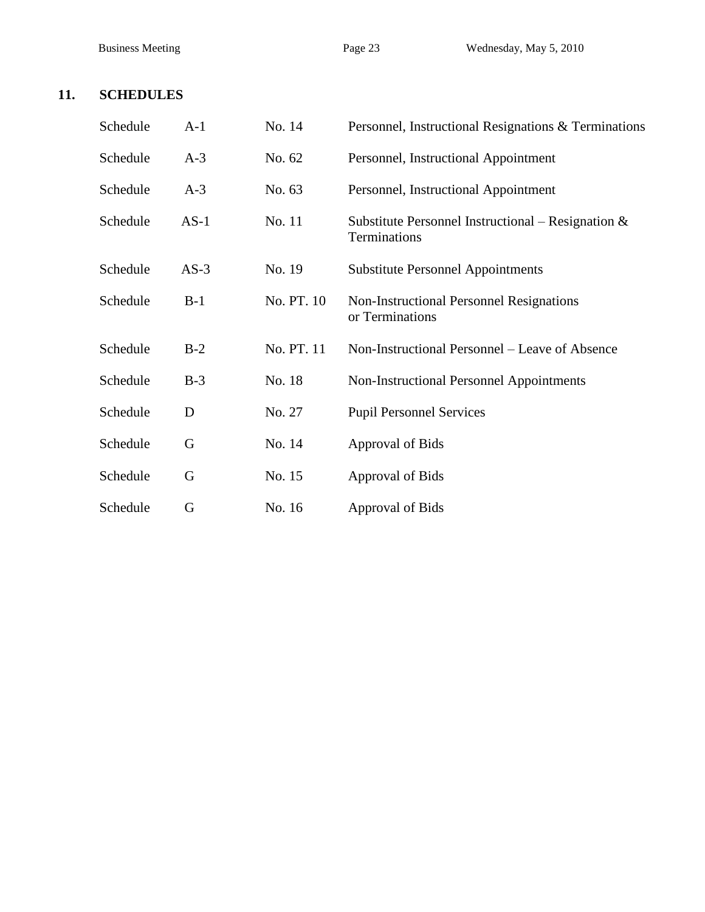## **11. SCHEDULES**

| Schedule | $A-1$  | No. 14     | Personnel, Instructional Resignations & Terminations                  |  |
|----------|--------|------------|-----------------------------------------------------------------------|--|
| Schedule | $A-3$  | No. 62     | Personnel, Instructional Appointment                                  |  |
| Schedule | $A-3$  | No. 63     | Personnel, Instructional Appointment                                  |  |
| Schedule | $AS-1$ | No. 11     | Substitute Personnel Instructional – Resignation $\&$<br>Terminations |  |
| Schedule | $AS-3$ | No. 19     | <b>Substitute Personnel Appointments</b>                              |  |
| Schedule | $B-1$  | No. PT. 10 | <b>Non-Instructional Personnel Resignations</b><br>or Terminations    |  |
| Schedule | $B-2$  | No. PT. 11 | Non-Instructional Personnel – Leave of Absence                        |  |
| Schedule | $B-3$  | No. 18     | <b>Non-Instructional Personnel Appointments</b>                       |  |
| Schedule | D      | No. 27     | <b>Pupil Personnel Services</b>                                       |  |
| Schedule | G      | No. 14     | Approval of Bids                                                      |  |
| Schedule | G      | No. 15     | Approval of Bids                                                      |  |
| Schedule | G      | No. 16     | <b>Approval of Bids</b>                                               |  |